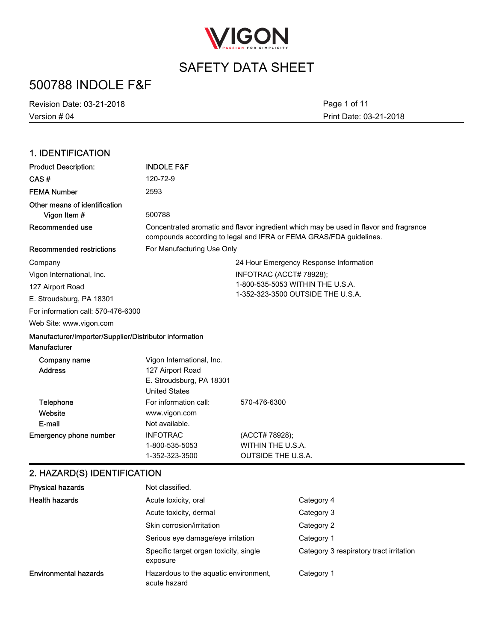

## 500788 INDOLE F&F

Version # 04 Revision Date: 03-21-2018 Print Date: 03-21-2018 Page 1 of 11

#### 1. IDENTIFICATION Product Description: INDOLE F&F CAS # 120-72-9 FEMA Number 2593 Other means of identification **Vigon Item #** 500788 Concentrated aromatic and flavor ingredient which may be used in flavor and fragrance compounds according to legal and IFRA or FEMA GRAS/FDA guidelines. Recommended use Recommended restrictions For Manufacturing Use Only 24 Hour Emergency Response Information INFOTRAC (ACCT# 78928); 1-800-535-5053 WITHIN THE U.S.A. 1-352-323-3500 OUTSIDE THE U.S.A. Web Site: www.vigon.com For information call: 570-476-6300 Company Vigon International, Inc. 127 Airport Road E. Stroudsburg, PA 18301 Manufacturer/Importer/Supplier/Distributor information Manufacturer Vigon International, Inc. Address 127 Airport Road Company name **Website** Telephone For information call: 570-476-6300 Emergency phone number INFOTRAC (ACCT# 78928); 1-800-535-5053 WITHIN THE U.S.A. 1-352-323-3500 OUTSIDE THE U.S.A. E-mail United States www.vigon.com Not available. E. Stroudsburg, PA 18301

#### 2. HAZARD(S) IDENTIFICATION

| <b>Physical hazards</b>      | Not classified.                                       |                                         |
|------------------------------|-------------------------------------------------------|-----------------------------------------|
| <b>Health hazards</b>        | Acute toxicity, oral                                  | Category 4                              |
|                              | Acute toxicity, dermal                                | Category 3                              |
|                              | Skin corrosion/irritation                             | Category 2                              |
|                              | Serious eye damage/eye irritation                     | Category 1                              |
|                              | Specific target organ toxicity, single<br>exposure    | Category 3 respiratory tract irritation |
| <b>Environmental hazards</b> | Hazardous to the aguatic environment.<br>acute hazard | Category 1                              |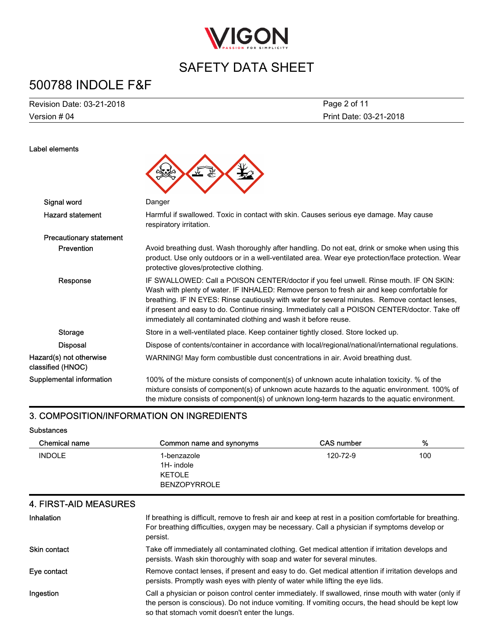

# 500788 INDOLE F&F

Version # 04 Revision Date: 03-21-2018 Print Date: 03-21-2018 Page 2 of 11

| Label elements                               |                                                                                                                                                                                                                                                                                                                                                                                                                                                             |
|----------------------------------------------|-------------------------------------------------------------------------------------------------------------------------------------------------------------------------------------------------------------------------------------------------------------------------------------------------------------------------------------------------------------------------------------------------------------------------------------------------------------|
| Signal word                                  | Danger                                                                                                                                                                                                                                                                                                                                                                                                                                                      |
| <b>Hazard statement</b>                      | Harmful if swallowed. Toxic in contact with skin. Causes serious eye damage. May cause<br>respiratory irritation.                                                                                                                                                                                                                                                                                                                                           |
| <b>Precautionary statement</b>               |                                                                                                                                                                                                                                                                                                                                                                                                                                                             |
| Prevention                                   | Avoid breathing dust. Wash thoroughly after handling. Do not eat, drink or smoke when using this<br>product. Use only outdoors or in a well-ventilated area. Wear eye protection/face protection. Wear<br>protective gloves/protective clothing.                                                                                                                                                                                                            |
| Response                                     | IF SWALLOWED: Call a POISON CENTER/doctor if you feel unwell. Rinse mouth. IF ON SKIN:<br>Wash with plenty of water. IF INHALED: Remove person to fresh air and keep comfortable for<br>breathing. IF IN EYES: Rinse cautiously with water for several minutes. Remove contact lenses,<br>if present and easy to do. Continue rinsing. Immediately call a POISON CENTER/doctor. Take off<br>immediately all contaminated clothing and wash it before reuse. |
| <b>Storage</b>                               | Store in a well-ventilated place. Keep container tightly closed. Store locked up.                                                                                                                                                                                                                                                                                                                                                                           |
| <b>Disposal</b>                              | Dispose of contents/container in accordance with local/regional/national/international regulations.                                                                                                                                                                                                                                                                                                                                                         |
| Hazard(s) not otherwise<br>classified (HNOC) | WARNING! May form combustible dust concentrations in air. Avoid breathing dust.                                                                                                                                                                                                                                                                                                                                                                             |
| Supplemental information                     | 100% of the mixture consists of component(s) of unknown acute inhalation toxicity. % of the<br>mixture consists of component(s) of unknown acute hazards to the aquatic environment. 100% of<br>the mixture consists of component(s) of unknown long-term hazards to the aquatic environment.                                                                                                                                                               |

#### 3. COMPOSITION/INFORMATION ON INGREDIENTS

#### Substances

| <b>Chemical name</b> | Common name and synonyms | <b>CAS number</b> | %   |
|----------------------|--------------------------|-------------------|-----|
| <b>INDOLE</b>        | 1-benzazole              | 120-72-9          | 100 |
|                      | 1H- indole               |                   |     |
|                      | <b>KETOLE</b>            |                   |     |
|                      | <b>BENZOPYRROLE</b>      |                   |     |

#### 4. FIRST-AID MEASURES

| Inhalation   | If breathing is difficult, remove to fresh air and keep at rest in a position comfortable for breathing.<br>For breathing difficulties, oxygen may be necessary. Call a physician if symptoms develop or<br>persist.                                        |
|--------------|-------------------------------------------------------------------------------------------------------------------------------------------------------------------------------------------------------------------------------------------------------------|
| Skin contact | Take off immediately all contaminated clothing. Get medical attention if irritation develops and<br>persists. Wash skin thoroughly with soap and water for several minutes.                                                                                 |
| Eye contact  | Remove contact lenses, if present and easy to do. Get medical attention if irritation develops and<br>persists. Promptly wash eyes with plenty of water while lifting the eye lids.                                                                         |
| Ingestion    | Call a physician or poison control center immediately. If swallowed, rinse mouth with water (only if<br>the person is conscious). Do not induce vomiting. If vomiting occurs, the head should be kept low<br>so that stomach vomit doesn't enter the lungs. |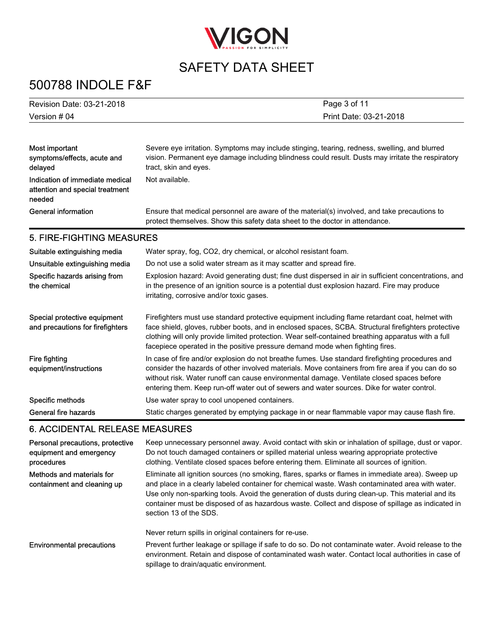

# 500788 INDOLE F&F

| Revision Date: 03-21-2018 | Page 3 of 11           |
|---------------------------|------------------------|
| Version # 04              | Print Date: 03-21-2018 |

| Most important<br>symptoms/effects, acute and<br>delaved                     | Severe eye irritation. Symptoms may include stinging, tearing, redness, swelling, and blurred<br>vision. Permanent eye damage including blindness could result. Dusts may irritate the respiratory<br>tract, skin and eyes. |
|------------------------------------------------------------------------------|-----------------------------------------------------------------------------------------------------------------------------------------------------------------------------------------------------------------------------|
| Indication of immediate medical<br>attention and special treatment<br>needed | Not available.                                                                                                                                                                                                              |
| General information                                                          | Ensure that medical personnel are aware of the material(s) involved, and take precautions to<br>protect themselves. Show this safety data sheet to the doctor in attendance.                                                |

#### 5. FIRE-FIGHTING MEASURES

| Suitable extinguishing media<br>Unsuitable extinguishing media<br>Specific hazards arising from<br>the chemical | Water spray, fog, CO2, dry chemical, or alcohol resistant foam.<br>Do not use a solid water stream as it may scatter and spread fire.<br>Explosion hazard: Avoid generating dust; fine dust dispersed in air in sufficient concentrations, and<br>in the presence of an ignition source is a potential dust explosion hazard. Fire may produce<br>irritating, corrosive and/or toxic gases.     |
|-----------------------------------------------------------------------------------------------------------------|-------------------------------------------------------------------------------------------------------------------------------------------------------------------------------------------------------------------------------------------------------------------------------------------------------------------------------------------------------------------------------------------------|
| Special protective equipment<br>and precautions for firefighters                                                | Firefighters must use standard protective equipment including flame retardant coat, helmet with<br>face shield, gloves, rubber boots, and in enclosed spaces, SCBA. Structural firefighters protective<br>clothing will only provide limited protection. Wear self-contained breathing apparatus with a full<br>facepiece operated in the positive pressure demand mode when fighting fires.    |
| Fire fighting<br>equipment/instructions                                                                         | In case of fire and/or explosion do not breathe fumes. Use standard firefighting procedures and<br>consider the hazards of other involved materials. Move containers from fire area if you can do so<br>without risk. Water runoff can cause environmental damage. Ventilate closed spaces before<br>entering them. Keep run-off water out of sewers and water sources. Dike for water control. |
| Specific methods                                                                                                | Use water spray to cool unopened containers.                                                                                                                                                                                                                                                                                                                                                    |
| General fire hazards                                                                                            | Static charges generated by emptying package in or near flammable vapor may cause flash fire.                                                                                                                                                                                                                                                                                                   |

#### 6. ACCIDENTAL RELEASE MEASURES

| Personal precautions, protective<br>equipment and emergency<br>procedures | Keep unnecessary personnel away. Avoid contact with skin or inhalation of spillage, dust or vapor.<br>Do not touch damaged containers or spilled material unless wearing appropriate protective<br>clothing. Ventilate closed spaces before entering them. Eliminate all sources of ignition.                                                                                                                                            |
|---------------------------------------------------------------------------|------------------------------------------------------------------------------------------------------------------------------------------------------------------------------------------------------------------------------------------------------------------------------------------------------------------------------------------------------------------------------------------------------------------------------------------|
| Methods and materials for<br>containment and cleaning up                  | Eliminate all ignition sources (no smoking, flares, sparks or flames in immediate area). Sweep up<br>and place in a clearly labeled container for chemical waste. Wash contaminated area with water.<br>Use only non-sparking tools. Avoid the generation of dusts during clean-up. This material and its<br>container must be disposed of as hazardous waste. Collect and dispose of spillage as indicated in<br>section 13 of the SDS. |
|                                                                           | Never return spills in original containers for re-use.                                                                                                                                                                                                                                                                                                                                                                                   |
| <b>Environmental precautions</b>                                          | Prevent further leakage or spillage if safe to do so. Do not contaminate water. Avoid release to the<br>environment. Retain and dispose of contaminated wash water. Contact local authorities in case of<br>spillage to drain/aquatic environment.                                                                                                                                                                                       |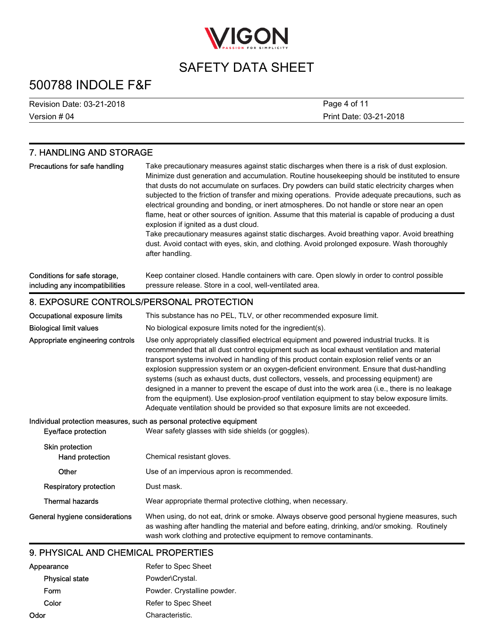

## 500788 INDOLE F&F

Version # 04 Revision Date: 03-21-2018 Print Date: 03-21-2018 Page 4 of 11

#### 7. HANDLING AND STORAGE Take precautionary measures against static discharges when there is a risk of dust explosion. Minimize dust generation and accumulation. Routine housekeeping should be instituted to ensure that dusts do not accumulate on surfaces. Dry powders can build static electricity charges when subjected to the friction of transfer and mixing operations. Provide adequate precautions, such as electrical grounding and bonding, or inert atmospheres. Do not handle or store near an open flame, heat or other sources of ignition. Assume that this material is capable of producing a dust explosion if ignited as a dust cloud. Take precautionary measures against static discharges. Avoid breathing vapor. Avoid breathing dust. Avoid contact with eyes, skin, and clothing. Avoid prolonged exposure. Wash thoroughly after handling. Precautions for safe handling Keep container closed. Handle containers with care. Open slowly in order to control possible pressure release. Store in a cool, well-ventilated area. Conditions for safe storage, including any incompatibilities 8. EXPOSURE CONTROLS/PERSONAL PROTECTION Occupational exposure limits This substance has no PEL, TLV, or other recommended exposure limit. Biological limit values No biological exposure limits noted for the ingredient(s). Use only appropriately classified electrical equipment and powered industrial trucks. It is recommended that all dust control equipment such as local exhaust ventilation and material transport systems involved in handling of this product contain explosion relief vents or an explosion suppression system or an oxygen-deficient environment. Ensure that dust-handling systems (such as exhaust ducts, dust collectors, vessels, and processing equipment) are designed in a manner to prevent the escape of dust into the work area (i.e., there is no leakage from the equipment). Use explosion-proof ventilation equipment to stay below exposure limits. Adequate ventilation should be provided so that exposure limits are not exceeded. Appropriate engineering controls Individual protection measures, such as personal protective equipment Eye/face protection Wear safety glasses with side shields (or goggles). Skin protection Hand protection Chemical resistant gloves. Other Use of an impervious apron is recommended. **Respiratory protection Dust mask.** Thermal hazards Wear appropriate thermal protective clothing, when necessary. When using, do not eat, drink or smoke. Always observe good personal hygiene measures, such as washing after handling the material and before eating, drinking, and/or smoking. Routinely wash work clothing and protective equipment to remove contaminants. General hygiene considerations

#### 9. PHYSICAL AND CHEMICAL PROPERTIES

| Appearance            | Refer to Spec Sheet         |
|-----------------------|-----------------------------|
| <b>Physical state</b> | Powder\Crystal.             |
| Form                  | Powder. Crystalline powder. |
| Color                 | Refer to Spec Sheet         |
| Odor                  | Characteristic.             |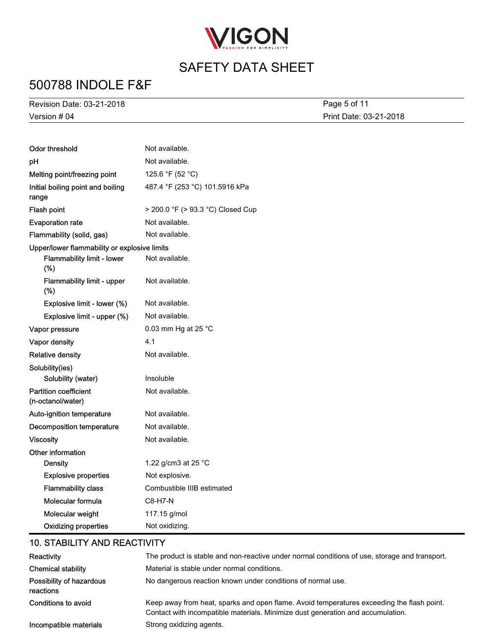

# 500788 INDOLE F&F

| Revision Date: 03-21-2018                    |                                   | Page 5 of 11           |
|----------------------------------------------|-----------------------------------|------------------------|
| Version # 04                                 |                                   | Print Date: 03-21-2018 |
|                                              |                                   |                        |
| <b>Odor threshold</b>                        | Not available.                    |                        |
| pH                                           | Not available.                    |                        |
| Melting point/freezing point                 | 125.6 °F (52 °C)                  |                        |
| Initial boiling point and boiling<br>range   | 487.4 °F (253 °C) 101.5916 kPa    |                        |
| Flash point                                  | > 200.0 °F (> 93.3 °C) Closed Cup |                        |
| <b>Evaporation rate</b>                      | Not available.                    |                        |
| Flammability (solid, gas)                    | Not available.                    |                        |
| Upper/lower flammability or explosive limits |                                   |                        |
| Flammability limit - lower<br>$(\%)$         | Not available.                    |                        |
| Flammability limit - upper<br>(%)            | Not available.                    |                        |
| Explosive limit - lower (%)                  | Not available.                    |                        |
| Explosive limit - upper (%)                  | Not available.                    |                        |
| Vapor pressure                               | 0.03 mm Hg at 25 °C               |                        |
| Vapor density                                | 4.1                               |                        |
| <b>Relative density</b>                      | Not available.                    |                        |
| Solubility(ies)                              |                                   |                        |

| Solubility(ies)<br>Solubility (water)             | Insoluble                  |
|---------------------------------------------------|----------------------------|
| <b>Partition coefficient</b><br>(n-octanol/water) | Not available.             |
| <b>Auto-ignition temperature</b>                  | Not available.             |
| Decomposition temperature                         | Not available.             |
| Viscosity                                         | Not available.             |
| Other information                                 |                            |
| Density                                           | 1.22 g/cm3 at 25 °C        |
| <b>Explosive properties</b>                       | Not explosive.             |
| <b>Flammability class</b>                         | Combustible IIIB estimated |
| Molecular formula                                 | $C8-H7-N$                  |
| Molecular weight                                  | 117.15 g/mol               |
| <b>Oxidizing properties</b>                       | Not oxidizing.             |

#### 10. STABILITY AND REACTIVITY

| Reactivity                            | The product is stable and non-reactive under normal conditions of use, storage and transport.                                                                                |
|---------------------------------------|------------------------------------------------------------------------------------------------------------------------------------------------------------------------------|
| <b>Chemical stability</b>             | Material is stable under normal conditions.                                                                                                                                  |
| Possibility of hazardous<br>reactions | No dangerous reaction known under conditions of normal use.                                                                                                                  |
| Conditions to avoid                   | Keep away from heat, sparks and open flame. Avoid temperatures exceeding the flash point.<br>Contact with incompatible materials. Minimize dust generation and accumulation. |
| Incompatible materials                | Strong oxidizing agents.                                                                                                                                                     |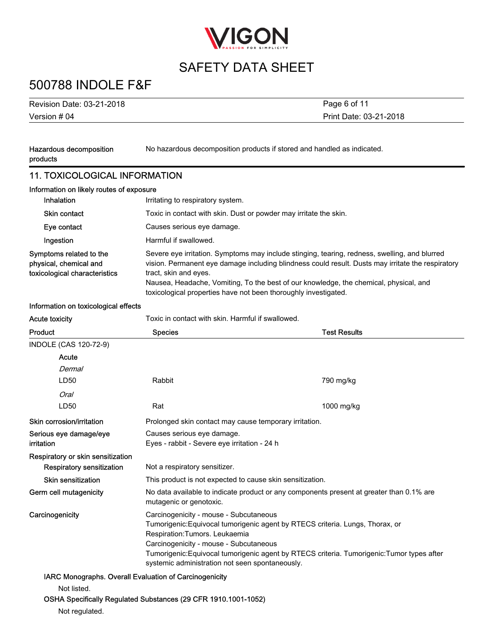

## 500788 INDOLE F&F

Version # 04 Revision Date: 03-21-2018

Print Date: 03-21-2018 Page 6 of 11

| Hazardous decomposition<br>products                                                | No hazardous decomposition products if stored and handled as indicated.                                                                                                                                                                                                                                                                                                                 |                     |
|------------------------------------------------------------------------------------|-----------------------------------------------------------------------------------------------------------------------------------------------------------------------------------------------------------------------------------------------------------------------------------------------------------------------------------------------------------------------------------------|---------------------|
| <b>11. TOXICOLOGICAL INFORMATION</b>                                               |                                                                                                                                                                                                                                                                                                                                                                                         |                     |
| Information on likely routes of exposure                                           |                                                                                                                                                                                                                                                                                                                                                                                         |                     |
| Inhalation                                                                         | Irritating to respiratory system.                                                                                                                                                                                                                                                                                                                                                       |                     |
| Skin contact                                                                       | Toxic in contact with skin. Dust or powder may irritate the skin.                                                                                                                                                                                                                                                                                                                       |                     |
| Eye contact                                                                        | Causes serious eye damage.                                                                                                                                                                                                                                                                                                                                                              |                     |
| Ingestion                                                                          | Harmful if swallowed.                                                                                                                                                                                                                                                                                                                                                                   |                     |
| Symptoms related to the<br>physical, chemical and<br>toxicological characteristics | Severe eye irritation. Symptoms may include stinging, tearing, redness, swelling, and blurred<br>vision. Permanent eye damage including blindness could result. Dusts may irritate the respiratory<br>tract, skin and eyes.<br>Nausea, Headache, Vomiting, To the best of our knowledge, the chemical, physical, and<br>toxicological properties have not been thoroughly investigated. |                     |
| Information on toxicological effects                                               |                                                                                                                                                                                                                                                                                                                                                                                         |                     |
| <b>Acute toxicity</b>                                                              | Toxic in contact with skin. Harmful if swallowed.                                                                                                                                                                                                                                                                                                                                       |                     |
| Product                                                                            | <b>Species</b>                                                                                                                                                                                                                                                                                                                                                                          | <b>Test Results</b> |
| INDOLE (CAS 120-72-9)                                                              |                                                                                                                                                                                                                                                                                                                                                                                         |                     |
| Acute                                                                              |                                                                                                                                                                                                                                                                                                                                                                                         |                     |
| Dermal                                                                             |                                                                                                                                                                                                                                                                                                                                                                                         |                     |
| LD50                                                                               | Rabbit                                                                                                                                                                                                                                                                                                                                                                                  | 790 mg/kg           |
| Oral                                                                               |                                                                                                                                                                                                                                                                                                                                                                                         |                     |
| LD50                                                                               | Rat                                                                                                                                                                                                                                                                                                                                                                                     | 1000 mg/kg          |
| Skin corrosion/irritation                                                          | Prolonged skin contact may cause temporary irritation.                                                                                                                                                                                                                                                                                                                                  |                     |
| Serious eye damage/eye<br>irritation                                               | Causes serious eye damage.<br>Eyes - rabbit - Severe eye irritation - 24 h                                                                                                                                                                                                                                                                                                              |                     |
| Respiratory or skin sensitization                                                  |                                                                                                                                                                                                                                                                                                                                                                                         |                     |
| Respiratory sensitization                                                          | Not a respiratory sensitizer.                                                                                                                                                                                                                                                                                                                                                           |                     |
| <b>Skin sensitization</b>                                                          | This product is not expected to cause skin sensitization.                                                                                                                                                                                                                                                                                                                               |                     |
| Germ cell mutagenicity                                                             | No data available to indicate product or any components present at greater than 0.1% are<br>mutagenic or genotoxic.                                                                                                                                                                                                                                                                     |                     |
| Carcinogenicity                                                                    | Carcinogenicity - mouse - Subcutaneous<br>Tumorigenic: Equivocal tumorigenic agent by RTECS criteria. Lungs, Thorax, or<br>Respiration: Tumors. Leukaemia<br>Carcinogenicity - mouse - Subcutaneous<br>Tumorigenic: Equivocal tumorigenic agent by RTECS criteria. Tumorigenic: Tumor types after<br>systemic administration not seen spontaneously.                                    |                     |
| IARC Monographs. Overall Evaluation of Carcinogenicity                             |                                                                                                                                                                                                                                                                                                                                                                                         |                     |

#### Not listed.

#### OSHA Specifically Regulated Substances (29 CFR 1910.1001-1052)

Not regulated.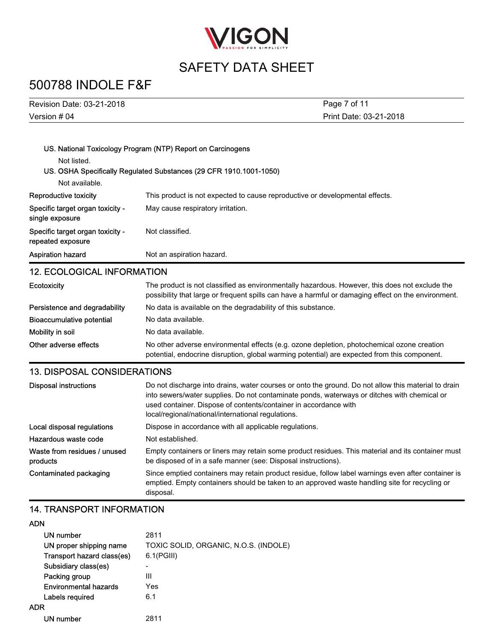

## 500788 INDOLE F&F

| <b>Revision Date: 03-21-2018</b>                      | Page 7 of 11                                                                                                                                                                                                                                                                                                                 |  |
|-------------------------------------------------------|------------------------------------------------------------------------------------------------------------------------------------------------------------------------------------------------------------------------------------------------------------------------------------------------------------------------------|--|
| Version # 04                                          | Print Date: 03-21-2018                                                                                                                                                                                                                                                                                                       |  |
|                                                       |                                                                                                                                                                                                                                                                                                                              |  |
|                                                       | US. National Toxicology Program (NTP) Report on Carcinogens                                                                                                                                                                                                                                                                  |  |
| Not listed.                                           |                                                                                                                                                                                                                                                                                                                              |  |
|                                                       | US. OSHA Specifically Regulated Substances (29 CFR 1910.1001-1050)                                                                                                                                                                                                                                                           |  |
| Not available.                                        |                                                                                                                                                                                                                                                                                                                              |  |
| Reproductive toxicity                                 | This product is not expected to cause reproductive or developmental effects.                                                                                                                                                                                                                                                 |  |
| Specific target organ toxicity -<br>single exposure   | May cause respiratory irritation.                                                                                                                                                                                                                                                                                            |  |
| Specific target organ toxicity -<br>repeated exposure | Not classified.                                                                                                                                                                                                                                                                                                              |  |
| <b>Aspiration hazard</b>                              | Not an aspiration hazard.                                                                                                                                                                                                                                                                                                    |  |
| <b>12. ECOLOGICAL INFORMATION</b>                     |                                                                                                                                                                                                                                                                                                                              |  |
| Ecotoxicity                                           | The product is not classified as environmentally hazardous. However, this does not exclude the<br>possibility that large or frequent spills can have a harmful or damaging effect on the environment.                                                                                                                        |  |
| Persistence and degradability                         | No data is available on the degradability of this substance.                                                                                                                                                                                                                                                                 |  |
| <b>Bioaccumulative potential</b>                      | No data available.                                                                                                                                                                                                                                                                                                           |  |
| Mobility in soil                                      | No data available.                                                                                                                                                                                                                                                                                                           |  |
| Other adverse effects                                 | No other adverse environmental effects (e.g. ozone depletion, photochemical ozone creation<br>potential, endocrine disruption, global warming potential) are expected from this component.                                                                                                                                   |  |
| <b>13. DISPOSAL CONSIDERATIONS</b>                    |                                                                                                                                                                                                                                                                                                                              |  |
| <b>Disposal instructions</b>                          | Do not discharge into drains, water courses or onto the ground. Do not allow this material to drain<br>into sewers/water supplies. Do not contaminate ponds, waterways or ditches with chemical or<br>used container. Dispose of contents/container in accordance with<br>local/regional/national/international regulations. |  |
| Local disposal regulations                            | Dispose in accordance with all applicable regulations.                                                                                                                                                                                                                                                                       |  |
| Hazardous waste code                                  | Not established.                                                                                                                                                                                                                                                                                                             |  |
| Waste from residues / unused<br>products              | Empty containers or liners may retain some product residues. This material and its container must<br>be disposed of in a safe manner (see: Disposal instructions).                                                                                                                                                           |  |
| Contaminated packaging                                | Since emptied containers may retain product residue, follow label warnings even after container is<br>emptied. Empty containers should be taken to an approved waste handling site for recycling or                                                                                                                          |  |

#### 14. TRANSPORT INFORMATION

#### ADN

| .                            |                                       |
|------------------------------|---------------------------------------|
| UN number                    | 2811                                  |
| UN proper shipping name      | TOXIC SOLID, ORGANIC, N.O.S. (INDOLE) |
| Transport hazard class(es)   | 6.1(PGIII)                            |
| Subsidiary class(es)         |                                       |
| Packing group                | Ш                                     |
| <b>Environmental hazards</b> | Yes                                   |
| Labels required              | 6.1                                   |
| <b>ADR</b>                   |                                       |
| UN number                    | 2811                                  |
|                              |                                       |

disposal.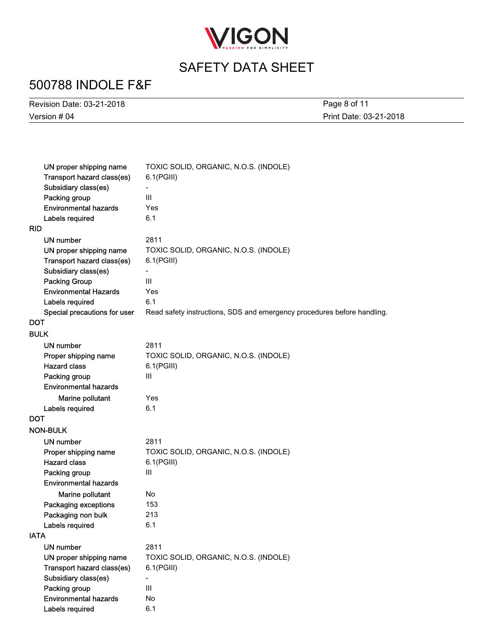

# 500788 INDOLE F&F

Version # 04 Revision Date: 03-21-2018 Print Date: 03-21-2018 Page 8 of 11

| UN proper shipping name      | TOXIC SOLID, ORGANIC, N.O.S. (INDOLE)                                   |
|------------------------------|-------------------------------------------------------------------------|
| Transport hazard class(es)   | $6.1$ (PGIII)                                                           |
| Subsidiary class(es)         |                                                                         |
| Packing group                | III                                                                     |
| <b>Environmental hazards</b> | Yes                                                                     |
| Labels required              | 6.1                                                                     |
| <b>RID</b>                   |                                                                         |
| UN number                    | 2811                                                                    |
| UN proper shipping name      | TOXIC SOLID, ORGANIC, N.O.S. (INDOLE)                                   |
| Transport hazard class(es)   | $6.1$ (PGIII)                                                           |
| Subsidiary class(es)         |                                                                         |
| <b>Packing Group</b>         | III                                                                     |
| <b>Environmental Hazards</b> | Yes                                                                     |
| Labels required              | 6.1                                                                     |
| Special precautions for user | Read safety instructions, SDS and emergency procedures before handling. |
| <b>DOT</b>                   |                                                                         |
| <b>BULK</b>                  |                                                                         |
| UN number                    | 2811                                                                    |
| Proper shipping name         | TOXIC SOLID, ORGANIC, N.O.S. (INDOLE)                                   |
| <b>Hazard class</b>          | $6.1$ (PGIII)                                                           |
| Packing group                | III                                                                     |
| <b>Environmental hazards</b> |                                                                         |
| Marine pollutant             | Yes                                                                     |
| Labels required              | 6.1                                                                     |
| <b>DOT</b>                   |                                                                         |
| <b>NON-BULK</b>              |                                                                         |
| UN number                    | 2811                                                                    |
| Proper shipping name         | TOXIC SOLID, ORGANIC, N.O.S. (INDOLE)                                   |
| <b>Hazard class</b>          | $6.1$ (PGIII)                                                           |
| Packing group                | III                                                                     |
| <b>Environmental hazards</b> |                                                                         |
| Marine pollutant             | <b>No</b>                                                               |
| Packaging exceptions         | 153                                                                     |
| Packaging non bulk           | 213                                                                     |
| Labels required              | 6.1                                                                     |
| <b>IATA</b>                  |                                                                         |
| <b>UN number</b>             | 2811                                                                    |
| UN proper shipping name      | TOXIC SOLID, ORGANIC, N.O.S. (INDOLE)                                   |
| Transport hazard class(es)   | 6.1(PGIII)                                                              |
| Subsidiary class(es)         | $\overline{\phantom{a}}$                                                |
| Packing group                | $\ensuremath{\mathsf{III}}\xspace$                                      |
| <b>Environmental hazards</b> | No                                                                      |
| Labels required              | 6.1                                                                     |
|                              |                                                                         |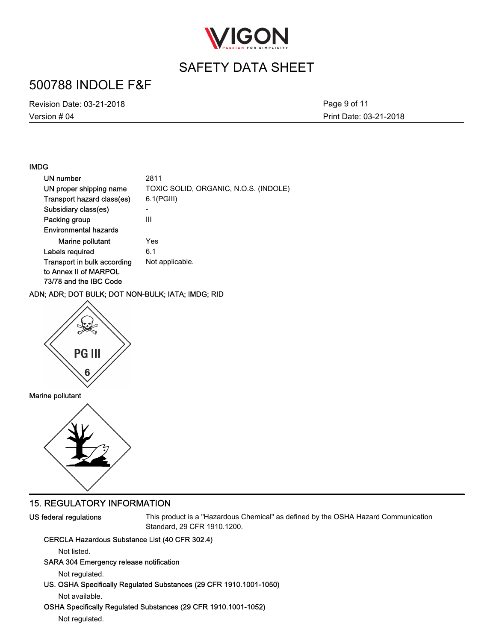

## 500788 INDOLE F&F

Version # 04 Revision Date: 03-21-2018 Print Date: 03-21-2018 Page 9 of 11

#### IMDG

| UN number                    | 2811                                  |
|------------------------------|---------------------------------------|
| UN proper shipping name      | TOXIC SOLID, ORGANIC, N.O.S. (INDOLE) |
| Transport hazard class(es)   | $6.1$ (PGIII)                         |
| Subsidiary class(es)         | -                                     |
| Packing group                | Ш                                     |
| <b>Environmental hazards</b> |                                       |
| Marine pollutant             | Yes                                   |
| Labels required              | 6.1                                   |
| Transport in bulk according  | Not applicable.                       |
| to Annex II of MARPOL        |                                       |
| 73/78 and the IBC Code       |                                       |

#### ADN; ADR; DOT BULK; DOT NON-BULK; IATA; IMDG; RID



#### Marine pollutant



#### 15. REGULATORY INFORMATION

US federal regulations

This product is a "Hazardous Chemical" as defined by the OSHA Hazard Communication Standard, 29 CFR 1910.1200.

#### CERCLA Hazardous Substance List (40 CFR 302.4)

Not listed.

#### SARA 304 Emergency release notification

Not regulated.

US. OSHA Specifically Regulated Substances (29 CFR 1910.1001-1050)

Not available.

#### OSHA Specifically Regulated Substances (29 CFR 1910.1001-1052)

Not regulated.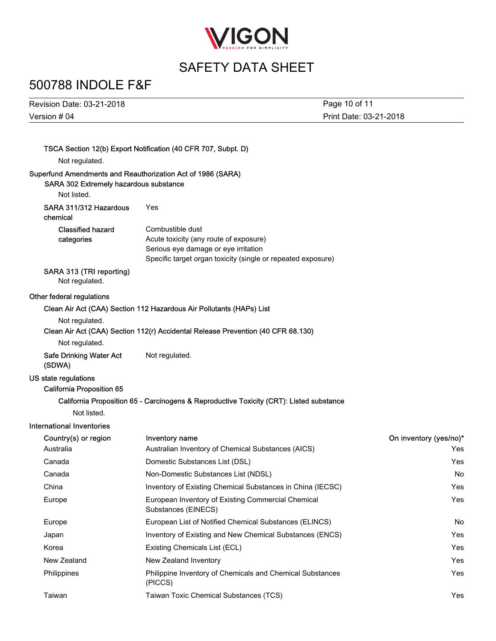

# 500788 INDOLE F&F

Version # 04 Revision Date: 03-21-2018 Print Date: 03-21-2018 Page 10 of 11

|                                                          | TSCA Section 12(b) Export Notification (40 CFR 707, Subpt. D)                                                                                                      |                        |
|----------------------------------------------------------|--------------------------------------------------------------------------------------------------------------------------------------------------------------------|------------------------|
| Not regulated.                                           |                                                                                                                                                                    |                        |
| SARA 302 Extremely hazardous substance                   | Superfund Amendments and Reauthorization Act of 1986 (SARA)                                                                                                        |                        |
| Not listed.                                              |                                                                                                                                                                    |                        |
| SARA 311/312 Hazardous<br>chemical                       | Yes                                                                                                                                                                |                        |
| <b>Classified hazard</b><br>categories                   | Combustible dust<br>Acute toxicity (any route of exposure)<br>Serious eye damage or eye irritation<br>Specific target organ toxicity (single or repeated exposure) |                        |
| SARA 313 (TRI reporting)<br>Not regulated.               |                                                                                                                                                                    |                        |
| Other federal regulations                                |                                                                                                                                                                    |                        |
|                                                          | Clean Air Act (CAA) Section 112 Hazardous Air Pollutants (HAPs) List                                                                                               |                        |
| Not regulated.                                           |                                                                                                                                                                    |                        |
|                                                          | Clean Air Act (CAA) Section 112(r) Accidental Release Prevention (40 CFR 68.130)                                                                                   |                        |
| Not regulated.                                           |                                                                                                                                                                    |                        |
| <b>Safe Drinking Water Act</b><br>(SDWA)                 | Not regulated.                                                                                                                                                     |                        |
| US state regulations<br><b>California Proposition 65</b> |                                                                                                                                                                    |                        |
|                                                          | California Proposition 65 - Carcinogens & Reproductive Toxicity (CRT): Listed substance                                                                            |                        |
| Not listed.                                              |                                                                                                                                                                    |                        |
| International Inventories                                |                                                                                                                                                                    |                        |
| Country(s) or region                                     | Inventory name                                                                                                                                                     | On inventory (yes/no)* |
| Australia                                                | Australian Inventory of Chemical Substances (AICS)                                                                                                                 | Yes                    |
| Canada                                                   | Domestic Substances List (DSL)                                                                                                                                     | Yes                    |
| Canada                                                   | Non-Domestic Substances List (NDSL)                                                                                                                                | No                     |
| China                                                    | Inventory of Existing Chemical Substances in China (IECSC)                                                                                                         | Yes                    |
| Europe                                                   | European Inventory of Existing Commercial Chemical<br>Substances (EINECS)                                                                                          | Yes                    |
| Europe                                                   | European List of Notified Chemical Substances (ELINCS)                                                                                                             | No                     |
| Japan                                                    | Inventory of Existing and New Chemical Substances (ENCS)                                                                                                           | Yes                    |
| Korea                                                    | Existing Chemicals List (ECL)                                                                                                                                      | Yes                    |
| New Zealand                                              | New Zealand Inventory                                                                                                                                              | Yes                    |
| Philippines                                              | Philippine Inventory of Chemicals and Chemical Substances<br>(PICCS)                                                                                               | Yes                    |
| Taiwan                                                   | Taiwan Toxic Chemical Substances (TCS)                                                                                                                             | Yes                    |